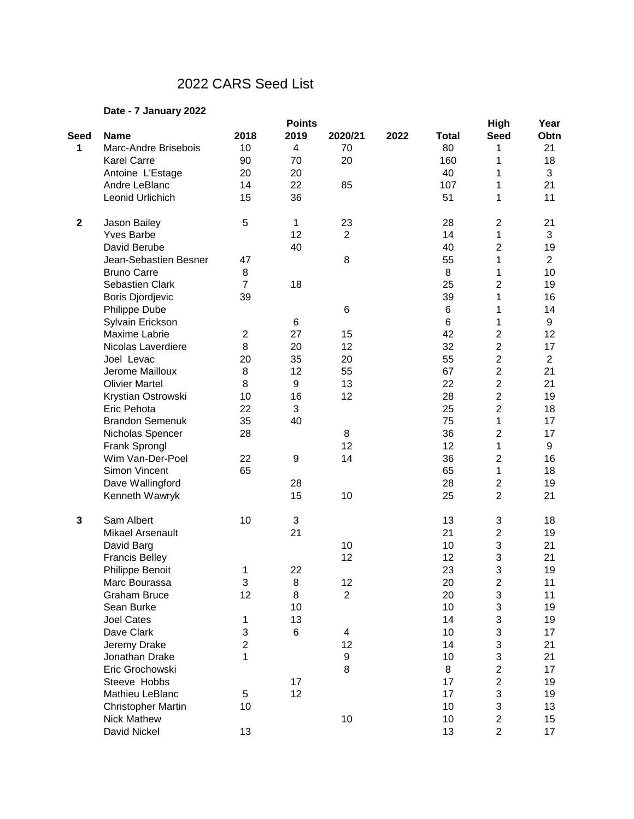## 2022 CARS Seed List

## **Date - 7 January 2022**

|              |                           |                  | <b>Points</b>    |                |      |                 | <b>High</b>             | Year           |
|--------------|---------------------------|------------------|------------------|----------------|------|-----------------|-------------------------|----------------|
| <b>Seed</b>  | <b>Name</b>               | 2018             | 2019             | 2020/21        | 2022 | <b>Total</b>    | <b>Seed</b>             | Obtn           |
| 1            | Marc-Andre Brisebois      | 10               | $\overline{4}$   | 70             |      | 80              | 1                       | 21             |
|              | <b>Karel Carre</b>        | 90               | 70               | 20             |      | 160             | 1                       | 18             |
|              | Antoine L'Estage          | 20               | 20               |                |      | 40              | 1                       | 3              |
|              | Andre LeBlanc             | 14               | 22               | 85             |      | 107             | 1                       | 21             |
|              | Leonid Urlichich          | 15               | 36               |                |      | 51              | 1                       | 11             |
| $\mathbf{2}$ | Jason Bailey              | 5                | 1                | 23             |      | 28              | $\overline{c}$          | 21             |
|              | <b>Yves Barbe</b>         |                  | 12               | $\overline{2}$ |      | 14              | 1                       | 3              |
|              | David Berube              |                  | 40               |                |      | 40              | $\overline{2}$          | 19             |
|              | Jean-Sebastien Besner     | 47               |                  | 8              |      | 55              | 1                       | $\overline{2}$ |
|              | <b>Bruno Carre</b>        | 8                |                  |                |      | 8               | 1                       | 10             |
|              | Sebastien Clark           | $\overline{7}$   | 18               |                |      | 25              | $\overline{2}$          | 19             |
|              | <b>Boris Djordjevic</b>   | 39               |                  |                |      | 39              | 1                       | 16             |
|              | Philippe Dube             |                  |                  | 6              |      | 6               | 1                       | 14             |
|              | Sylvain Erickson          |                  | 6                |                |      | $6\phantom{1}6$ | 1                       | 9              |
|              | Maxime Labrie             | $\boldsymbol{2}$ | 27               | 15             |      | 42              | $\overline{c}$          | 12             |
|              | Nicolas Laverdiere        | 8                | 20               | 12             |      | 32              | $\overline{c}$          | 17             |
|              | Joel Levac                | 20               | 35               | 20             |      | 55              | $\overline{2}$          | $\overline{2}$ |
|              | Jerome Mailloux           | 8                | 12               | 55             |      | 67              | $\overline{c}$          | 21             |
|              | <b>Olivier Martel</b>     | 8                | 9                | 13             |      | 22              | $\overline{2}$          | 21             |
|              | Krystian Ostrowski        | 10               | 16               | 12             |      | 28              | $\overline{2}$          | 19             |
|              | Eric Pehota               | 22               | 3                |                |      | 25              | $\overline{2}$          | 18             |
|              | <b>Brandon Semenuk</b>    | 35               | 40               |                |      | 75              | 1                       | 17             |
|              | Nicholas Spencer          | 28               |                  | 8              |      | 36              | $\overline{c}$          | 17             |
|              | Frank Sprongl             |                  |                  | 12             |      | 12              | 1                       | 9              |
|              | Wim Van-Der-Poel          | 22               | $\boldsymbol{9}$ | 14             |      | 36              | $\overline{c}$          | 16             |
|              | Simon Vincent             | 65               |                  |                |      | 65              | 1                       | 18             |
|              | Dave Wallingford          |                  | 28               |                |      | 28              | $\overline{c}$          | 19             |
|              | Kenneth Wawryk            |                  | 15               | 10             |      | 25              | $\overline{2}$          | 21             |
| $\mathbf{3}$ | Sam Albert                | 10               | 3                |                |      | 13              | 3                       | 18             |
|              | <b>Mikael Arsenault</b>   |                  | 21               |                |      | 21              | $\overline{2}$          | 19             |
|              | David Barg                |                  |                  | 10             |      | 10              | 3                       | 21             |
|              | <b>Francis Belley</b>     |                  |                  | 12             |      | 12              | 3                       | 21             |
|              | Philippe Benoit           | 1                | 22               |                |      | 23              | 3                       | 19             |
|              | Marc Bourassa             | 3                | 8                | 12             |      | 20              | $\overline{\mathbf{c}}$ | 11             |
|              | <b>Graham Bruce</b>       | 12               | 8                | $\overline{2}$ |      | 20              | 3                       | 11             |
|              | Sean Burke                |                  | 10               |                |      | 10              | 3                       | 19             |
|              | <b>Joel Cates</b>         | 1                | 13               |                |      | 14              | 3                       | 19             |
|              | Dave Clark                | 3                | 6                | 4              |      | 10              | 3                       | 17             |
|              | Jeremy Drake              | $\overline{2}$   |                  | 12             |      | 14              | 3                       | 21             |
|              | Jonathan Drake            | 1                |                  | 9              |      | 10              | 3                       | 21             |
|              | Eric Grochowski           |                  |                  | 8              |      | 8               | $\overline{c}$          | 17             |
|              | Steeve Hobbs              |                  | 17               |                |      | 17              | $\overline{c}$          | 19             |
|              | Mathieu LeBlanc           | 5                | 12               |                |      | 17              | 3                       | 19             |
|              | <b>Christopher Martin</b> | 10               |                  |                |      | 10              | 3                       | 13             |
|              | <b>Nick Mathew</b>        |                  |                  | 10             |      | 10              | $\overline{c}$          | 15             |
|              | David Nickel              | 13               |                  |                |      | 13              | $\overline{2}$          | 17             |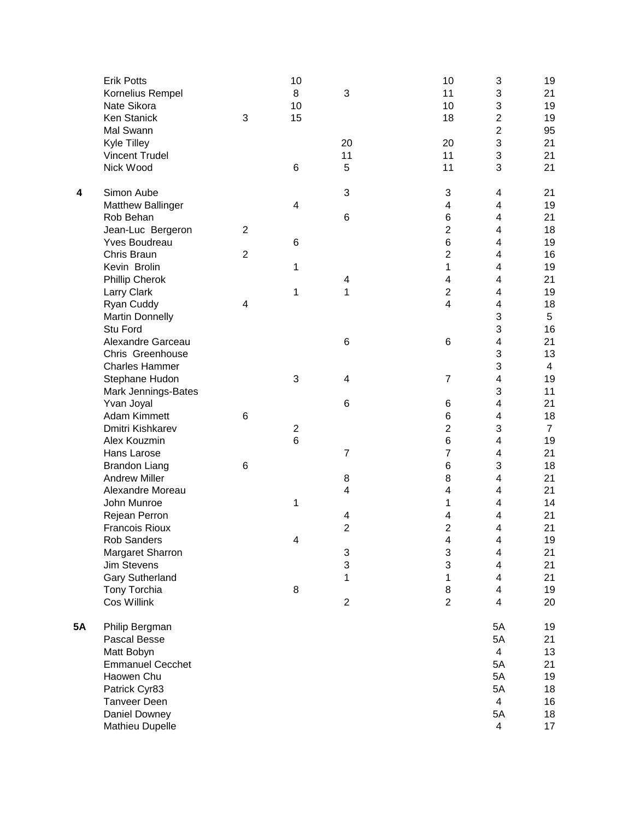|           | <b>Erik Potts</b><br>Kornelius Rempel<br>Nate Sikora<br><b>Ken Stanick</b><br>Mal Swann<br>Kyle Tilley                                                     | 3                                | 10<br>8<br>10<br>15          | 3<br>20                           | 10<br>11<br>10<br>18<br>20                                                                      | 3<br>3<br>3<br>$\overline{c}$<br>$\overline{2}$<br>3 | 19<br>21<br>19<br>19<br>95<br>21                   |
|-----------|------------------------------------------------------------------------------------------------------------------------------------------------------------|----------------------------------|------------------------------|-----------------------------------|-------------------------------------------------------------------------------------------------|------------------------------------------------------|----------------------------------------------------|
|           | <b>Vincent Trudel</b><br>Nick Wood                                                                                                                         |                                  | 6                            | 11<br>5                           | 11<br>11                                                                                        | 3<br>3                                               | 21<br>21                                           |
| 4         | Simon Aube<br><b>Matthew Ballinger</b><br>Rob Behan<br>Jean-Luc Bergeron<br>Yves Boudreau<br>Chris Braun<br>Kevin Brolin<br>Phillip Cherok                 | $\overline{2}$<br>$\overline{2}$ | 4<br>6<br>1                  | 3<br>6<br>4                       | 3<br>4<br>6<br>$\overline{2}$<br>6<br>$\overline{2}$<br>$\mathbf{1}$<br>$\overline{\mathbf{4}}$ | 4<br>4<br>4<br>4<br>4<br>4<br>4<br>4                 | 21<br>19<br>21<br>18<br>19<br>16<br>19<br>21       |
|           | Larry Clark<br>Ryan Cuddy<br><b>Martin Donnelly</b><br>Stu Ford<br>Alexandre Garceau                                                                       | 4                                | 1                            | 1<br>6                            | $\overline{c}$<br>$\overline{4}$<br>6                                                           | 4<br>4<br>3<br>3<br>4                                | 19<br>18<br>5<br>16<br>21                          |
|           | Chris Greenhouse<br><b>Charles Hammer</b><br>Stephane Hudon<br>Mark Jennings-Bates<br>Yvan Joyal                                                           |                                  | 3                            | 4<br>6                            | $\overline{7}$<br>6                                                                             | 3<br>3<br>4<br>3<br>4                                | 13<br>$\overline{\mathbf{4}}$<br>19<br>11<br>21    |
|           | Adam Kimmett<br>Dmitri Kishkarev<br>Alex Kouzmin<br>Hans Larose                                                                                            | 6                                | $\overline{\mathbf{c}}$<br>6 | 7                                 | 6<br>$\overline{c}$<br>6<br>$\overline{7}$                                                      | 4<br>3<br>4<br>4                                     | 18<br>$\overline{7}$<br>19<br>21                   |
|           | <b>Brandon Liang</b><br><b>Andrew Miller</b><br>Alexandre Moreau<br>John Munroe<br>Rejean Perron                                                           | 6                                | 1                            | 8<br>$\overline{\mathbf{4}}$<br>4 | 6<br>8<br>$\overline{4}$<br>1<br>4                                                              | 3<br>4<br>4<br>4<br>4                                | 18<br>21<br>21<br>14<br>21                         |
|           | <b>Francois Rioux</b><br>Rob Sanders<br>Margaret Sharron<br><b>Jim Stevens</b><br><b>Gary Sutherland</b>                                                   |                                  | 4                            | $\overline{c}$<br>3<br>3<br>1     | $\overline{2}$<br>4<br>3<br>3<br>1                                                              | 4<br>4<br>4<br>4<br>4                                | 21<br>19<br>21<br>21<br>21                         |
|           | Tony Torchia<br>Cos Willink                                                                                                                                |                                  | 8                            | $\overline{c}$                    | 8<br>$\overline{2}$                                                                             | 4<br>$\overline{4}$                                  | 19<br>20                                           |
| <b>5A</b> | Philip Bergman<br>Pascal Besse<br>Matt Bobyn<br><b>Emmanuel Cecchet</b><br>Haowen Chu<br>Patrick Cyr83<br>Tanveer Deen<br>Daniel Downey<br>Mathieu Dupelle |                                  |                              |                                   |                                                                                                 | 5A<br>5A<br>4<br>5A<br>5A<br>5A<br>4<br>5A<br>4      | 19<br>21<br>13<br>21<br>19<br>18<br>16<br>18<br>17 |